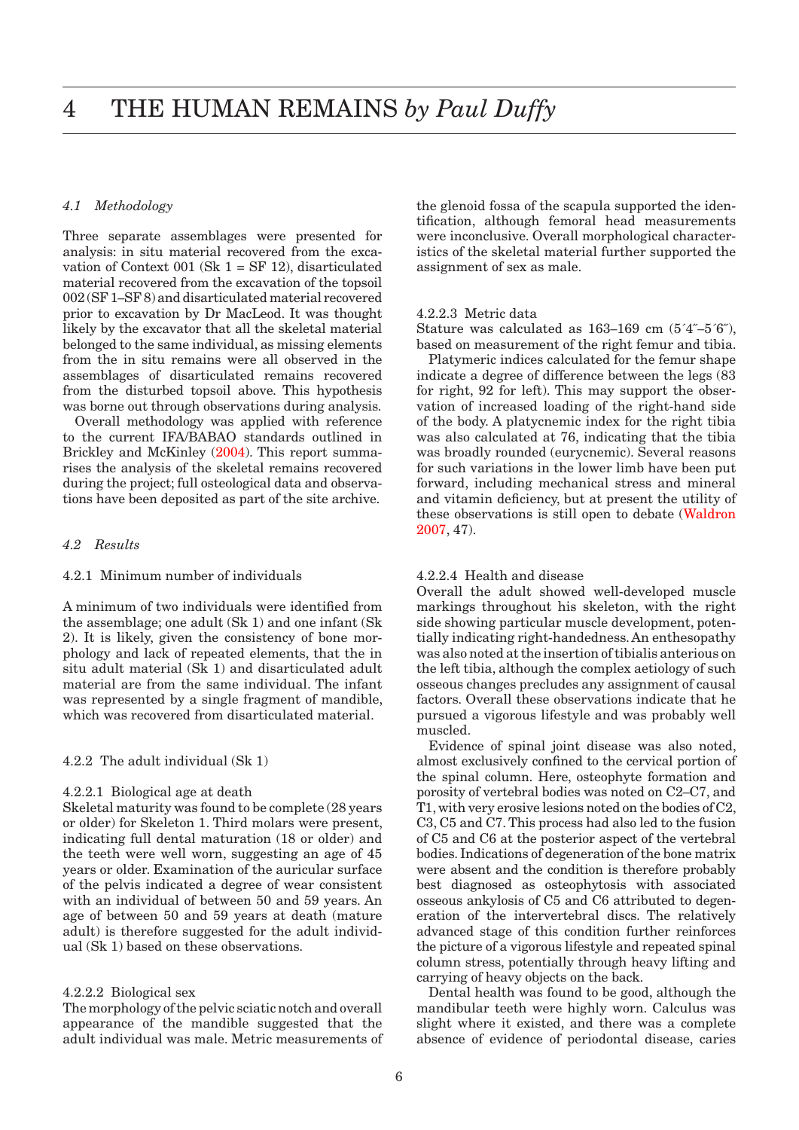# *4.1 Methodology*

Three separate assemblages were presented for analysis: in situ material recovered from the excavation of Context 001 (Sk  $1 = SF$  12), disarticulated material recovered from the excavation of the topsoil 002 (SF 1–SF 8) and disarticulated material recovered prior to excavation by Dr MacLeod. It was thought likely by the excavator that all the skeletal material belonged to the same individual, as missing elements from the in situ remains were all observed in the assemblages of disarticulated remains recovered from the disturbed topsoil above. This hypothesis was borne out through observations during analysis.

Overall methodology was applied with reference to the current IFA/BABAO standards outlined in Brickley and McKinley (2004). This report summarises the analysis of the skeletal remains recovered during the project; full osteological data and observations have been deposited as part of the site archive.

## *4.2 Results*

### 4.2.1 Minimum number of individuals

A minimum of two individuals were identified from the assemblage; one adult (Sk 1) and one infant (Sk 2). It is likely, given the consistency of bone morphology and lack of repeated elements, that the in situ adult material (Sk 1) and disarticulated adult material are from the same individual. The infant was represented by a single fragment of mandible, which was recovered from disarticulated material.

4.2.2 The adult individual (Sk 1)

### 4.2.2.1 Biological age at death

Skeletal maturity was found to be complete (28 years or older) for Skeleton 1. Third molars were present, indicating full dental maturation (18 or older) and the teeth were well worn, suggesting an age of 45 years or older. Examination of the auricular surface of the pelvis indicated a degree of wear consistent with an individual of between 50 and 59 years. An age of between 50 and 59 years at death (mature adult) is therefore suggested for the adult individual (Sk 1) based on these observations.

### 4.2.2.2 Biological sex

The morphology of the pelvic sciatic notch and overall appearance of the mandible suggested that the adult individual was male. Metric measurements of the glenoid fossa of the scapula supported the identification, although femoral head measurements were inconclusive. Overall morphological characteristics of the skeletal material further supported the assignment of sex as male.

### 4.2.2.3 Metric data

Stature was calculated as 163–169 cm (5´4˝–5´6˝), based on measurement of the right femur and tibia.

Platymeric indices calculated for the femur shape indicate a degree of difference between the legs (83 for right, 92 for left). This may support the observation of increased loading of the right-hand side of the body. A platycnemic index for the right tibia was also calculated at 76, indicating that the tibia was broadly rounded (eurycnemic). Several reasons for such variations in the lower limb have been put forward, including mechanical stress and mineral and vitamin deficiency, but at present the utility of these observations is still open to debate (Waldron 2007, 47).

### 4.2.2.4 Health and disease

Overall the adult showed well-developed muscle markings throughout his skeleton, with the right side showing particular muscle development, potentially indicating right-handedness. An enthesopathy was also noted at the insertion of tibialis anterious on the left tibia, although the complex aetiology of such osseous changes precludes any assignment of causal factors. Overall these observations indicate that he pursued a vigorous lifestyle and was probably well muscled.

Evidence of spinal joint disease was also noted, almost exclusively confined to the cervical portion of the spinal column. Here, osteophyte formation and porosity of vertebral bodies was noted on C2–C7, and T1, with very erosive lesions noted on the bodies of C2, C3, C5 and C7. This process had also led to the fusion of C5 and C6 at the posterior aspect of the vertebral bodies. Indications of degeneration of the bone matrix were absent and the condition is therefore probably best diagnosed as osteophytosis with associated osseous ankylosis of C5 and C6 attributed to degeneration of the intervertebral discs. The relatively advanced stage of this condition further reinforces the picture of a vigorous lifestyle and repeated spinal column stress, potentially through heavy lifting and carrying of heavy objects on the back.

Dental health was found to be good, although the mandibular teeth were highly worn. Calculus was slight where it existed, and there was a complete absence of evidence of periodontal disease, caries